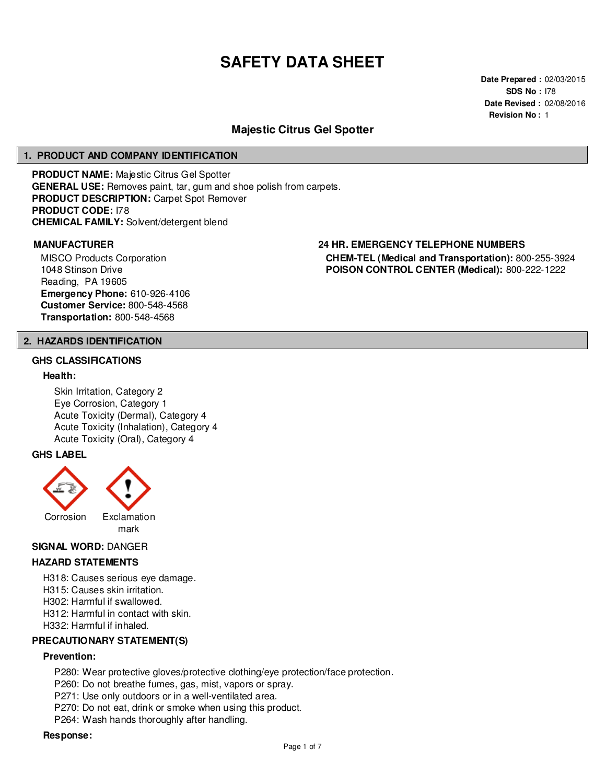# **SAFETY DATA SHEET**

**Date Prepared :** 02/03/2015 **SDS No :** I78 **Date Revised :** 02/08/2016 **Revision No :** 1

# **Majestic Citrus Gel Spotter**

#### **1. PRODUCT AND COMPANY IDENTIFICATION**

**PRODUCT NAME:** Majestic Citrus Gel Spotter **GENERAL USE:** Removes paint, tar, gum and shoe polish from carpets. **PRODUCT DESCRIPTION:** Carpet Spot Remover **PRODUCT CODE:** I78 **CHEMICAL FAMILY:** Solvent/detergent blend

MISCO Products Corporation 1048 Stinson Drive Reading, PA 19605 **Emergency Phone:** 610-926-4106 **Customer Service:** 800-548-4568 **Transportation:** 800-548-4568

# **MANUFACTURER 24 HR. EMERGENCY TELEPHONE NUMBERS CHEM-TEL (Medical and Transportation):** 800-255-3924 **POISON CONTROL CENTER (Medical):** 800-222-1222

# **2. HAZARDS IDENTIFICATION**

# **GHS CLASSIFICATIONS**

#### **Health:**

Skin Irritation, Category 2 Eye Corrosion, Category 1 Acute Toxicity (Dermal), Category 4 Acute Toxicity (Inhalation), Category 4 Acute Toxicity (Oral), Category 4

#### **GHS LABEL**



#### **SIGNAL WORD:** DANGER

#### **HAZARD STATEMENTS**

H318: Causes serious eye damage. H315: Causes skin irritation.

H302: Harmful if swallowed.

H312: Harmful in contact with skin.

H332: Harmful if inhaled.

# **PRECAUTIONARY STATEMENT(S)**

# **Prevention:**

P280: Wear protective gloves/protective clothing/eye protection/face protection.

P260: Do not breathe fumes, gas, mist, vapors or spray.

P271: Use only outdoors or in a well-ventilated area.

P270: Do not eat, drink or smoke when using this product.

P264: Wash hands thoroughly after handling.

#### **Response:**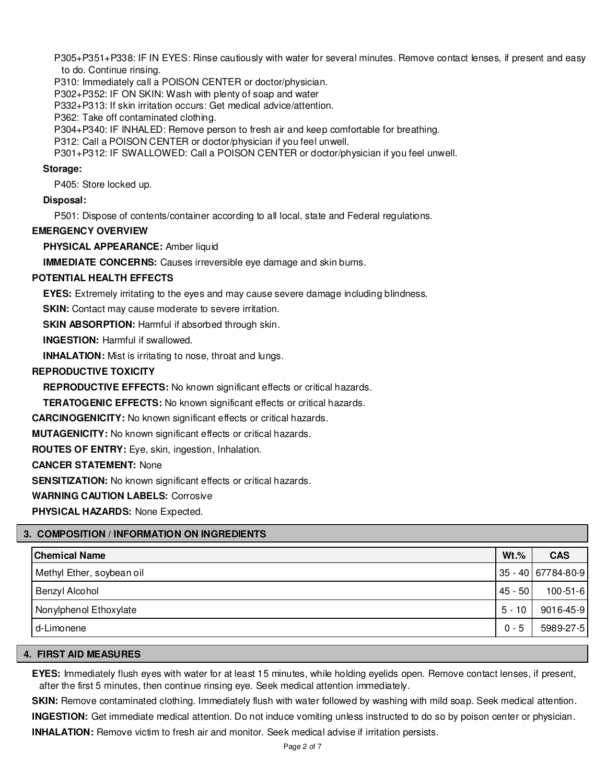P305+P351+P338: IF IN EYES: Rinse cautiously with water for several minutes. Remove contact lenses, if present and easy to do. Continue rinsing.

P310: Immediately call a POISON CENTER or doctor/physician.

P302+P352: IF ON SKIN: Wash with plenty of soap and water

P332+P313: If skin irritation occurs: Get medical advice/attention.

P362: Take off contaminated clothing.

P304+P340: IF INHALED: Remove person to fresh air and keep comfortable for breathing.

P312: Call a POISON CENTER or doctor/physician if you feel unwell.

P301+P312: IF SWALLOWED: Call a POISON CENTER or doctor/physician if you feel unwell.

#### **Storage:**

P405: Store locked up.

**Disposal:**

P501: Dispose of contents/container according to all local, state and Federal regulations.

# **EMERGENCY OVERVIEW**

**PHYSICAL APPEARANCE:** Amber liquid

**IMMEDIATE CONCERNS:** Causes irreversible eye damage and skin burns.

# **POTENTIAL HEALTH EFFECTS**

**EYES:** Extremely irritating to the eyes and may cause severe damage including blindness.

**SKIN:** Contact may cause moderate to severe irritation.

**SKIN ABSORPTION:** Harmful if absorbed through skin.

**INGESTION:** Harmful if swallowed.

**INHALATION:** Mist is irritating to nose, throat and lungs.

# **REPRODUCTIVE TOXICITY**

**REPRODUCTIVE EFFECTS:** No known significant effects or critical hazards.

**TERATOGENIC EFFECTS:** No known significant effects or critical hazards.

**CARCINOGENICITY:** No known significant effects or critical hazards.

**MUTAGENICITY:** No known significant effects or critical hazards.

**ROUTES OF ENTRY:** Eye, skin, ingestion, Inhalation.

**CANCER STATEMENT:** None

**SENSITIZATION:** No known significant effects or critical hazards.

**WARNING CAUTION LABELS:** Corrosive

**PHYSICAL HAZARDS:** None Expected.

# **3. COMPOSITION / INFORMATION ON INGREDIENTS**

| <b>Chemical Name</b>      | $Wt.\%$     | <b>CAS</b>         |
|---------------------------|-------------|--------------------|
| Methyl Ether, soybean oil |             | 35 - 40 67784-80-9 |
| Benzyl Alcohol            | $ 45 - 50 $ | $100 - 51 - 6$     |
| Nonylphenol Ethoxylate    | $5 - 10$    | 9016-45-9          |
| d-Limonene                | $0 - 5$     | 5989-27-5          |

# **4. FIRST AID MEASURES**

**EYES:** Immediately flush eyes with water for at least 15 minutes, while holding eyelids open. Remove contact lenses, if present, after the first 5 minutes, then continue rinsing eye. Seek medical attention immediately.

**SKIN:** Remove contaminated clothing. Immediately flush with water followed by washing with mild soap. Seek medical attention.

**INGESTION:** Get immediate medical attention. Do not induce vomiting unless instructed to do so by poison center or physician.

**INHALATION:** Remove victim to fresh air and monitor. Seek medical advise if irritation persists.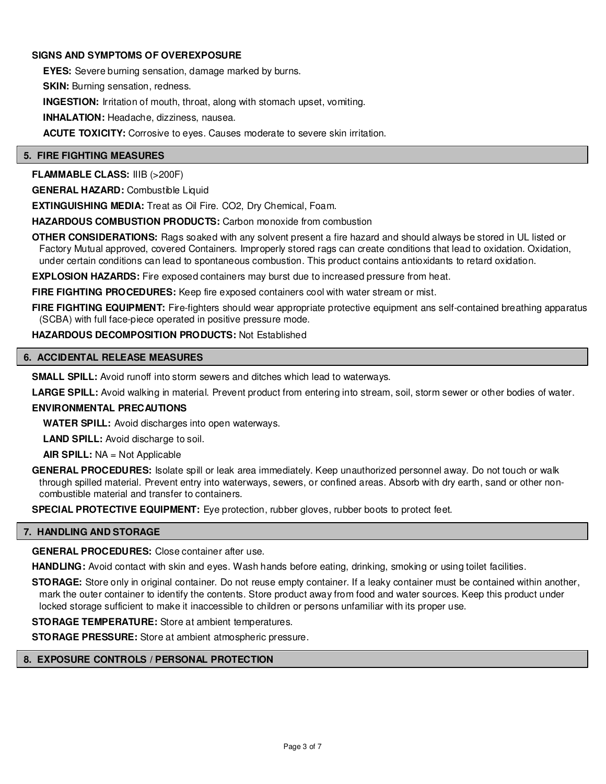# **SIGNS AND SYMPTOMS OF OVEREXPOSURE**

**EYES:** Severe burning sensation, damage marked by burns.

**SKIN:** Burning sensation, redness.

**INGESTION:** Irritation of mouth, throat, along with stomach upset, vomiting.

**INHALATION:** Headache, dizziness, nausea.

**ACUTE TOXICITY:** Corrosive to eyes. Causes moderate to severe skin irritation.

# **5. FIRE FIGHTING MEASURES**

**FLAMMABLE CLASS:** IIIB (>200F)

**GENERAL HAZARD:** Combustible Liquid

**EXTINGUISHING MEDIA:** Treat as Oil Fire. CO2, Dry Chemical, Foam.

**HAZARDOUS COMBUSTION PRODUCTS:** Carbon monoxide from combustion

**OTHER CONSIDERATIONS:** Rags soaked with any solvent present a fire hazard and should always be stored in UL listed or Factory Mutual approved, covered Containers. Improperly stored rags can create conditions that lead to oxidation. Oxidation, under certain conditions can lead to spontaneous combustion. This product contains antioxidants to retard oxidation.

**EXPLOSION HAZARDS:** Fire exposed containers may burst due to increased pressure from heat.

**FIRE FIGHTING PROCEDURES:** Keep fire exposed containers cool with water stream or mist.

**FIRE FIGHTING EQUIPMENT:** Fire-fighters should wear appropriate protective equipment ans self-contained breathing apparatus (SCBA) with full face-piece operated in positive pressure mode.

# **HAZARDOUS DECOMPOSITION PRODUCTS:** Not Established

# **6. ACCIDENTAL RELEASE MEASURES**

**SMALL SPILL:** Avoid runoff into storm sewers and ditches which lead to waterways.

**LARGE SPILL:** Avoid walking in material. Prevent product from entering into stream, soil, storm sewer or other bodies of water.

# **ENVIRONMENTAL PRECAUTIONS**

**WATER SPILL:** Avoid discharges into open waterways.

**LAND SPILL:** Avoid discharge to soil.

**AIR SPILL:** NA = Not Applicable

**GENERAL PROCEDURES:** Isolate spill or leak area immediately. Keep unauthorized personnel away. Do not touch or walk through spilled material. Prevent entry into waterways, sewers, or confined areas. Absorb with dry earth, sand or other noncombustible material and transfer to containers.

**SPECIAL PROTECTIVE EQUIPMENT:** Eye protection, rubber gloves, rubber boots to protect feet.

# **7. HANDLING AND STORAGE**

**GENERAL PROCEDURES:** Close container after use.

**HANDLING:** Avoid contact with skin and eyes. Wash hands before eating, drinking, smoking or using toilet facilities.

**STORAGE:** Store only in original container. Do not reuse empty container. If a leaky container must be contained within another, mark the outer container to identify the contents. Store product away from food and water sources. Keep this product under locked storage sufficient to make it inaccessible to children or persons unfamiliar with its proper use.

**STORAGE TEMPERATURE:** Store at ambient temperatures.

**STORAGE PRESSURE:** Store at ambient atmospheric pressure.

# **8. EXPOSURE CONTROLS / PERSONAL PROTECTION**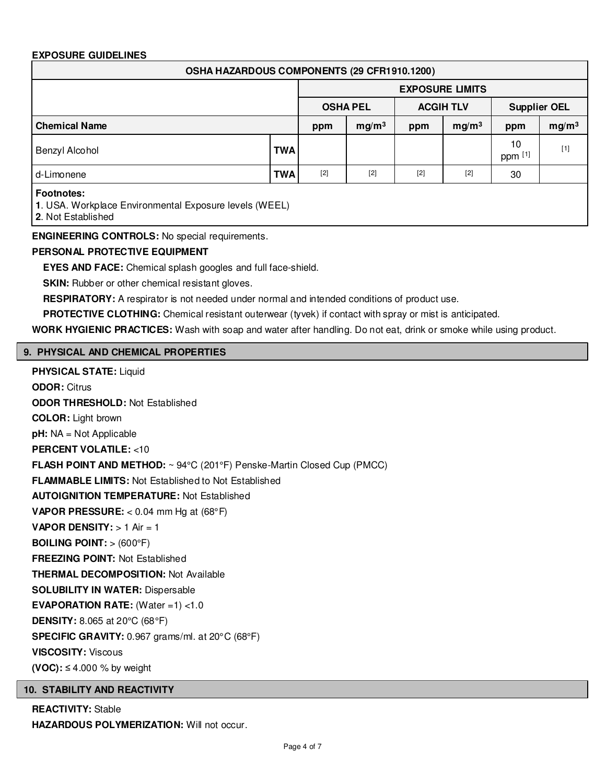# **EXPOSURE GUIDELINES**

| OSHA HAZARDOUS COMPONENTS (29 CFR1910.1200)                                                       |            |                        |                   |                  |                   |                     |                   |
|---------------------------------------------------------------------------------------------------|------------|------------------------|-------------------|------------------|-------------------|---------------------|-------------------|
|                                                                                                   |            | <b>EXPOSURE LIMITS</b> |                   |                  |                   |                     |                   |
|                                                                                                   |            | <b>OSHA PEL</b>        |                   | <b>ACGIH TLV</b> |                   | <b>Supplier OEL</b> |                   |
| <b>Chemical Name</b>                                                                              |            | ppm                    | mg/m <sup>3</sup> | ppm              | mg/m <sup>3</sup> | ppm                 | mg/m <sup>3</sup> |
| Benzyl Alcohol                                                                                    | <b>TWA</b> |                        |                   |                  |                   | 10<br>ppm [1]       | $[1]$             |
| d-Limonene                                                                                        | <b>TWA</b> | $[2]$                  | $[2]$             | $[2]$            | $[2]$             | 30                  |                   |
| <b>Footnotes:</b><br>1. USA. Workplace Environmental Exposure levels (WEEL)<br>2. Not Established |            |                        |                   |                  |                   |                     |                   |

**ENGINEERING CONTROLS:** No special requirements.

# **PERSONAL PROTECTIVE EQUIPMENT**

**EYES AND FACE:** Chemical splash googles and full face-shield.

**SKIN:** Rubber or other chemical resistant gloves.

**RESPIRATORY:** A respirator is not needed under normal and intended conditions of product use.

**PROTECTIVE CLOTHING:** Chemical resistant outerwear (tyvek) if contact with spray or mist is anticipated.

**WORK HYGIENIC PRACTICES:** Wash with soap and water after handling. Do not eat, drink or smoke while using product.

# **9. PHYSICAL AND CHEMICAL PROPERTIES**

**PHYSICAL STATE:** Liquid **ODOR:** Citrus **ODOR THRESHOLD:** Not Established **COLOR:** Light brown **pH:** NA = Not Applicable **PERCENT VOLATILE:** <10 **FLASH POINT AND METHOD:** ~ 94°C (201°F) Penske-Martin Closed Cup (PMCC) **FLAMMABLE LIMITS:** Not Established to Not Established **AUTOIGNITION TEMPERATURE:** Not Established **VAPOR PRESSURE:** < 0.04 mm Hg at (68°F) **VAPOR DENSITY:** > 1 Air = 1 **BOILING POINT:** > (600°F) **FREEZING POINT:** Not Established **THERMAL DECOMPOSITION:** Not Available **SOLUBILITY IN WATER:** Dispersable **EVAPORATION RATE:** (Water =1) <1.0 **DENSITY:** 8.065 at 20°C (68°F) **SPECIFIC GRAVITY:** 0.967 grams/ml. at 20°C (68°F) **VISCOSITY:** Viscous **(VOC):** ≤ 4.000 % by weight **10. STABILITY AND REACTIVITY**

**REACTIVITY:** Stable **HAZARDOUS POLYMERIZATION: Will not occur.**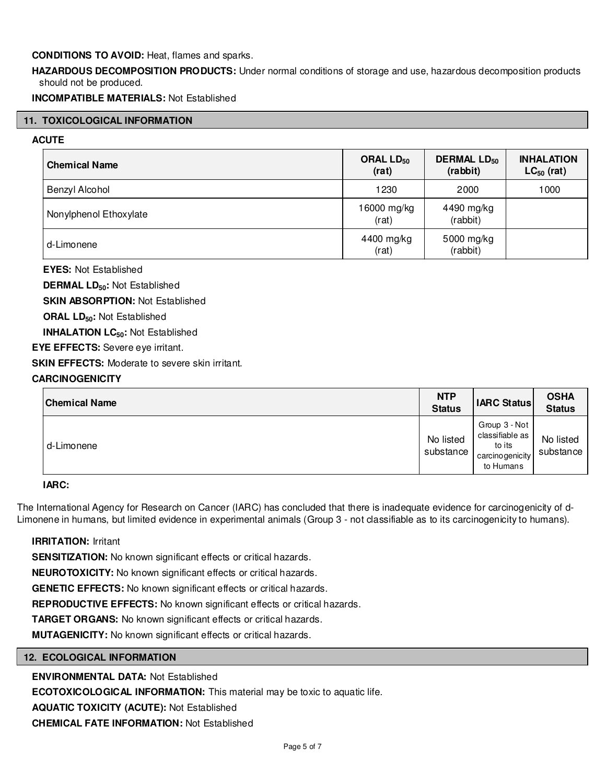# **CONDITIONS TO AVOID:** Heat, flames and sparks.

**HAZARDOUS DECOMPOSITION PRODUCTS:** Under normal conditions of storage and use, hazardous decomposition products should not be produced.

**INCOMPATIBLE MATERIALS:** Not Established

# **11. TOXICOLOGICAL INFORMATION**

# **ACUTE**

| <b>Chemical Name</b>   | ORAL LD <sub>50</sub><br>(rat) | <b>DERMAL LD<sub>50</sub></b><br>(rabbit) | <b>INHALATION</b><br>$LC_{50}$ (rat) |
|------------------------|--------------------------------|-------------------------------------------|--------------------------------------|
| Benzyl Alcohol         | 1230                           | 2000                                      | 1000                                 |
| Nonylphenol Ethoxylate | 16000 mg/kg<br>(rat)           | 4490 mg/kg<br>(rabbit)                    |                                      |
| d-Limonene             | 4400 mg/kg<br>(rat)            | 5000 mg/kg<br>(rabbit)                    |                                      |

**EYES:** Not Established

**DERMAL LD50:** Not Established

**SKIN ABSORPTION:** Not Established

**ORAL LD50:** Not Established

**INHALATION LC50:** Not Established

**EYE EFFECTS:** Severe eye irritant.

**SKIN EFFECTS:** Moderate to severe skin irritant.

# **CARCINOGENICITY**

| <b>Chemical Name</b> | <b>NTP</b><br><b>Status</b> | <b>IARC Status</b>                                                          | <b>OSHA</b><br><b>Status</b> |
|----------------------|-----------------------------|-----------------------------------------------------------------------------|------------------------------|
| d-Limonene           | No listed<br>substance      | Group 3 - Not<br>classifiable as<br>to its<br>carcino genicity<br>to Humans | No listed<br>substance       |

# **IARC:**

The International Agency for Research on Cancer (IARC) has concluded that there is inadequate evidence for carcinogenicity of d-Limonene in humans, but limited evidence in experimental animals (Group 3 - not classifiable as to its carcinogenicity to humans).

# **IRRITATION:** Irritant

**SENSITIZATION:** No known significant effects or critical hazards.

**NEUROTOXICITY:** No known significant effects or critical hazards.

**GENETIC EFFECTS:** No known significant effects or critical hazards.

**REPRODUCTIVE EFFECTS:** No known significant effects or critical hazards.

**TARGET ORGANS:** No known significant effects or critical hazards.

**MUTAGENICITY:** No known significant effects or critical hazards.

# **12. ECOLOGICAL INFORMATION**

# **ENVIRONMENTAL DATA:** Not Established

**ECOTOXICOLOGICAL INFORMATION:** This material may be toxic to aquatic life.

**AQUATIC TOXICITY (ACUTE):** Not Established

**CHEMICAL FATE INFORMATION:** Not Established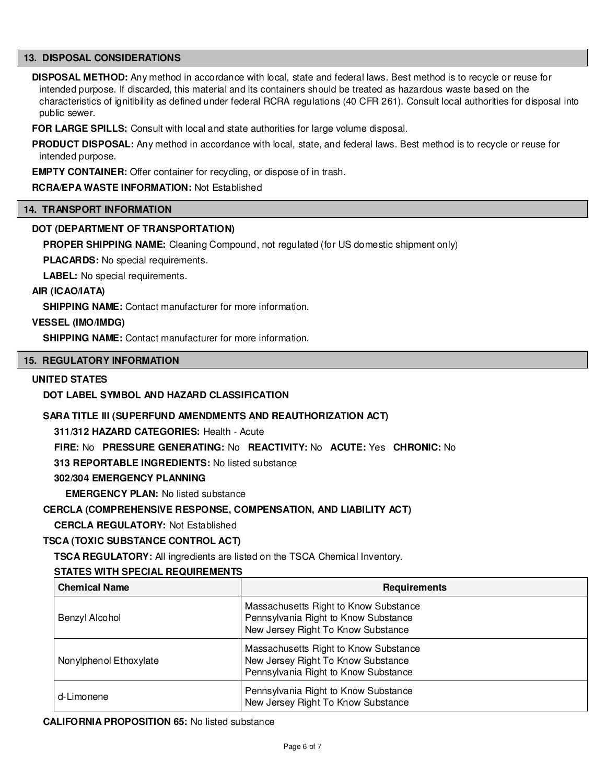# **13. DISPOSAL CONSIDERATIONS**

**DISPOSAL METHOD:** Any method in accordance with local, state and federal laws. Best method is to recycle or reuse for intended purpose. If discarded, this material and its containers should be treated as hazardous waste based on the characteristics of ignitibility as defined under federal RCRA regulations (40 CFR 261). Consult local authorities for disposal into public sewer.

**FOR LARGE SPILLS:** Consult with local and state authorities for large volume disposal.

**PRODUCT DISPOSAL:** Any method in accordance with local, state, and federal laws. Best method is to recycle or reuse for intended purpose.

**EMPTY CONTAINER:** Offer container for recycling, or dispose of in trash.

# **RCRA/EPA WASTE INFORMATION:** Not Established

#### **14. TRANSPORT INFORMATION**

# **DOT (DEPARTMENT OF TRANSPORTATION)**

**PROPER SHIPPING NAME:** Cleaning Compound, not regulated (for US domestic shipment only)

**PLACARDS:** No special requirements.

**LABEL:** No special requirements.

#### **AIR (ICAO/IATA)**

**SHIPPING NAME:** Contact manufacturer for more information.

# **VESSEL (IMO/IMDG)**

**SHIPPING NAME:** Contact manufacturer for more information.

# **15. REGULATORY INFORMATION**

#### **UNITED STATES**

# **DOT LABEL SYMBOL AND HAZARD CLASSIFICATION**

# **SARA TITLE III (SUPERFUND AMENDMENTS AND REAUTHORIZATION ACT)**

**311/312 HAZARD CATEGORIES:** Health - Acute

**FIRE:** No **PRESSURE GENERATING:** No **REACTIVITY:** No **ACUTE:** Yes **CHRONIC:** No

**313 REPORTABLE INGREDIENTS:** No listed substance

#### **302/304 EMERGENCY PLANNING**

**EMERGENCY PLAN:** No listed substance

# **CERCLA (COMPREHENSIVE RESPONSE, COMPENSATION, AND LIABILITY ACT)**

**CERCLA REGULATORY:** Not Established

# **TSCA (TOXIC SUBSTANCE CONTROL ACT)**

**TSCA REGULATORY:** All ingredients are listed on the TSCA Chemical Inventory.

# **STATES WITH SPECIAL REQUIREMENTS**

| <b>Chemical Name</b>   | <b>Requirements</b>                                                                                                 |
|------------------------|---------------------------------------------------------------------------------------------------------------------|
| Benzyl Alcohol         | Massachusetts Right to Know Substance<br>Pennsylvania Right to Know Substance<br>New Jersey Right To Know Substance |
| Nonylphenol Ethoxylate | Massachusetts Right to Know Substance<br>New Jersey Right To Know Substance<br>Pennsylvania Right to Know Substance |
| d-Limonene             | Pennsylvania Right to Know Substance<br>New Jersey Right To Know Substance                                          |

**CALIFORNIA PROPOSITION 65:** No listed substance